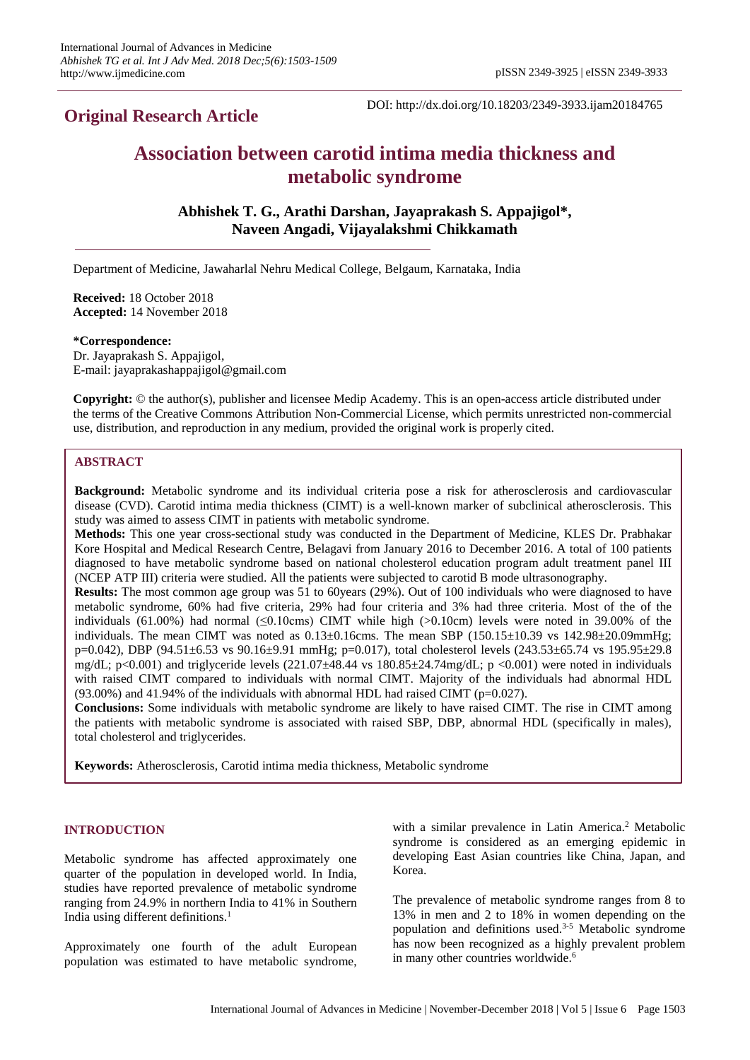## **Original Research Article**

DOI: http://dx.doi.org/10.18203/2349-3933.ijam20184765

# **Association between carotid intima media thickness and metabolic syndrome**

**Abhishek T. G., Arathi Darshan, Jayaprakash S. Appajigol\*, Naveen Angadi, Vijayalakshmi Chikkamath**

Department of Medicine, Jawaharlal Nehru Medical College, Belgaum, Karnataka, India

**Received:** 18 October 2018 **Accepted:** 14 November 2018

**\*Correspondence:**

Dr. Jayaprakash S. Appajigol, E-mail: jayaprakashappajigol@gmail.com

**Copyright:** © the author(s), publisher and licensee Medip Academy. This is an open-access article distributed under the terms of the Creative Commons Attribution Non-Commercial License, which permits unrestricted non-commercial use, distribution, and reproduction in any medium, provided the original work is properly cited.

## **ABSTRACT**

**Background:** Metabolic syndrome and its individual criteria pose a risk for atherosclerosis and cardiovascular disease (CVD). Carotid intima media thickness (CIMT) is a well-known marker of subclinical atherosclerosis. This study was aimed to assess CIMT in patients with metabolic syndrome.

**Methods:** This one year cross-sectional study was conducted in the Department of Medicine, KLES Dr. Prabhakar Kore Hospital and Medical Research Centre, Belagavi from January 2016 to December 2016. A total of 100 patients diagnosed to have metabolic syndrome based on national cholesterol education program adult treatment panel III (NCEP ATP III) criteria were studied. All the patients were subjected to carotid B mode ultrasonography.

**Results:** The most common age group was 51 to 60years (29%). Out of 100 individuals who were diagnosed to have metabolic syndrome, 60% had five criteria, 29% had four criteria and 3% had three criteria. Most of the of the individuals (61.00%) had normal ( $\leq 0.10$ cms) CIMT while high ( $> 0.10$ cm) levels were noted in 39.00% of the individuals. The mean CIMT was noted as  $0.13\pm0.16$ cms. The mean SBP  $(150.15\pm10.39 \text{ vs } 142.98\pm20.09 \text{ mmHg})$ ; p=0.042), DBP (94.51±6.53 vs 90.16±9.91 mmHg; p=0.017), total cholesterol levels (243.53±65.74 vs 195.95±29.8 mg/dL; p<0.001) and triglyceride levels (221.07 $\pm$ 48.44 vs 180.85 $\pm$ 24.74mg/dL; p <0.001) were noted in individuals with raised CIMT compared to individuals with normal CIMT. Majority of the individuals had abnormal HDL  $(93.00\%)$  and 41.94% of the individuals with abnormal HDL had raised CIMT ( $p=0.027$ ).

**Conclusions:** Some individuals with metabolic syndrome are likely to have raised CIMT. The rise in CIMT among the patients with metabolic syndrome is associated with raised SBP, DBP, abnormal HDL (specifically in males), total cholesterol and triglycerides.

**Keywords:** Atherosclerosis, Carotid intima media thickness, Metabolic syndrome

#### **INTRODUCTION**

Metabolic syndrome has affected approximately one quarter of the population in developed world. In India, studies have reported prevalence of metabolic syndrome ranging from 24.9% in northern India to 41% in Southern India using different definitions. 1

Approximately one fourth of the adult European population was estimated to have metabolic syndrome,

with a similar prevalence in Latin America. <sup>2</sup> Metabolic syndrome is considered as an emerging epidemic in developing East Asian countries like China, Japan, and Korea.

The prevalence of metabolic syndrome ranges from 8 to 13% in men and 2 to 18% in women depending on the population and definitions used. 3-5 Metabolic syndrome has now been recognized as a highly prevalent problem in many other countries worldwide.<sup>6</sup>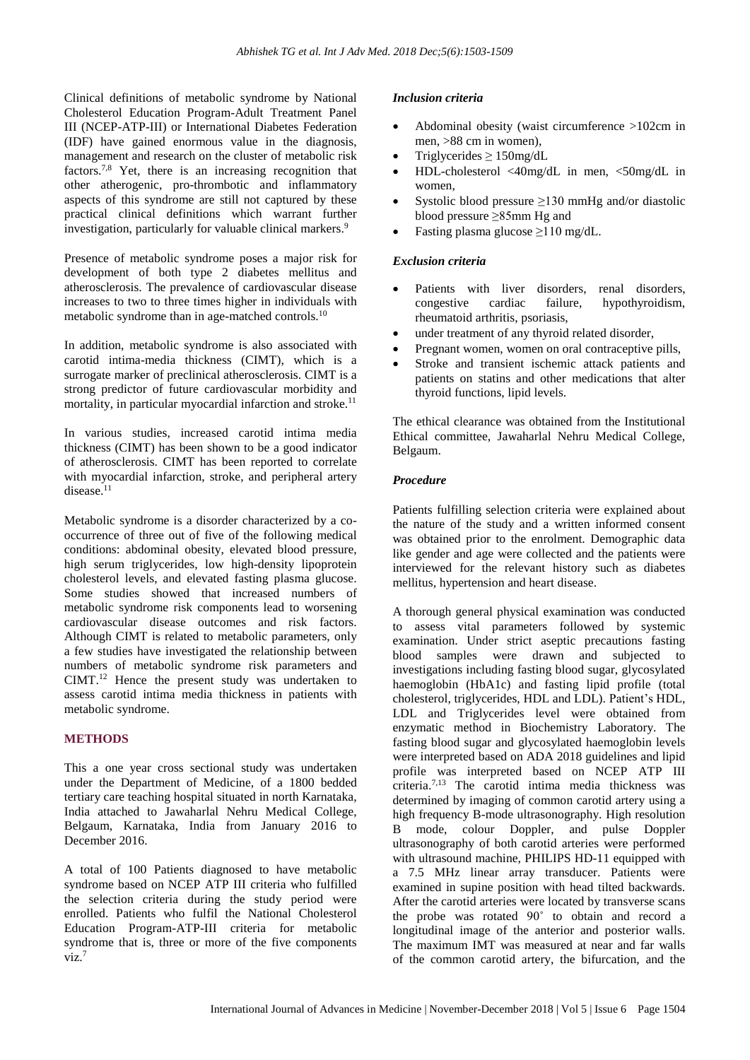Clinical definitions of metabolic syndrome by National Cholesterol Education Program-Adult Treatment Panel III (NCEP-ATP-III) or International Diabetes Federation (IDF) have gained enormous value in the diagnosis, management and research on the cluster of metabolic risk factors.7,8 Yet, there is an increasing recognition that other atherogenic, pro-thrombotic and inflammatory aspects of this syndrome are still not captured by these practical clinical definitions which warrant further investigation, particularly for valuable clinical markers.<sup>9</sup>

Presence of metabolic syndrome poses a major risk for development of both type 2 diabetes mellitus and atherosclerosis. The prevalence of cardiovascular disease increases to two to three times higher in individuals with metabolic syndrome than in age-matched controls.<sup>10</sup>

In addition, metabolic syndrome is also associated with carotid intima-media thickness (CIMT), which is a surrogate marker of preclinical atherosclerosis. CIMT is a strong predictor of future cardiovascular morbidity and mortality, in particular myocardial infarction and stroke. 11

In various studies, increased carotid intima media thickness (CIMT) has been shown to be a good indicator of atherosclerosis. CIMT has been reported to correlate with myocardial infarction, stroke, and peripheral artery disease.<sup>11</sup>

Metabolic syndrome is a disorder characterized by a cooccurrence of three out of five of the following medical conditions: abdominal obesity, elevated blood pressure, high serum triglycerides, low high-density lipoprotein cholesterol levels, and elevated fasting plasma glucose. Some studies showed that increased numbers of metabolic syndrome risk components lead to worsening cardiovascular disease outcomes and risk factors. Although CIMT is related to metabolic parameters, only a few studies have investigated the relationship between numbers of metabolic syndrome risk parameters and CIMT. <sup>12</sup> Hence the present study was undertaken to assess carotid intima media thickness in patients with metabolic syndrome.

## **METHODS**

This a one year cross sectional study was undertaken under the Department of Medicine, of a 1800 bedded tertiary care teaching hospital situated in north Karnataka, India attached to Jawaharlal Nehru Medical College, Belgaum, Karnataka, India from January 2016 to December 2016.

A total of 100 Patients diagnosed to have metabolic syndrome based on NCEP ATP III criteria who fulfilled the selection criteria during the study period were enrolled. Patients who fulfil the National Cholesterol Education Program-ATP-III criteria for metabolic syndrome that is, three or more of the five components  $viz.<sup>7</sup>$ 

## *Inclusion criteria*

- Abdominal obesity (waist circumference >102cm in men, >88 cm in women),
- Triglycerides  $\geq 150$ mg/dL
- HDL-cholesterol <40mg/dL in men, <50mg/dL in women,
- Systolic blood pressure  $\geq$ 130 mmHg and/or diastolic blood pressure ≥85mm Hg and
- Fasting plasma glucose ≥110 mg/dL.

## *Exclusion criteria*

- Patients with liver disorders, renal disorders, congestive cardiac failure, hypothyroidism, rheumatoid arthritis, psoriasis,
- under treatment of any thyroid related disorder,
- Pregnant women, women on oral contraceptive pills,
- Stroke and transient ischemic attack patients and patients on statins and other medications that alter thyroid functions, lipid levels.

The ethical clearance was obtained from the Institutional Ethical committee, Jawaharlal Nehru Medical College, Belgaum.

## *Procedure*

Patients fulfilling selection criteria were explained about the nature of the study and a written informed consent was obtained prior to the enrolment. Demographic data like gender and age were collected and the patients were interviewed for the relevant history such as diabetes mellitus, hypertension and heart disease.

A thorough general physical examination was conducted to assess vital parameters followed by systemic examination. Under strict aseptic precautions fasting blood samples were drawn and subjected to investigations including fasting blood sugar, glycosylated haemoglobin (HbA1c) and fasting lipid profile (total cholesterol, triglycerides, HDL and LDL). Patient's HDL, LDL and Triglycerides level were obtained from enzymatic method in Biochemistry Laboratory. The fasting blood sugar and glycosylated haemoglobin levels were interpreted based on ADA 2018 guidelines and lipid profile was interpreted based on NCEP ATP III criteria. 7,13 The carotid intima media thickness was determined by imaging of common carotid artery using a high frequency B-mode ultrasonography. High resolution B mode, colour Doppler, and pulse Doppler ultrasonography of both carotid arteries were performed with ultrasound machine, PHILIPS HD-11 equipped with a 7.5 MHz linear array transducer. Patients were examined in supine position with head tilted backwards. After the carotid arteries were located by transverse scans the probe was rotated 90˚ to obtain and record a longitudinal image of the anterior and posterior walls. The maximum IMT was measured at near and far walls of the common carotid artery, the bifurcation, and the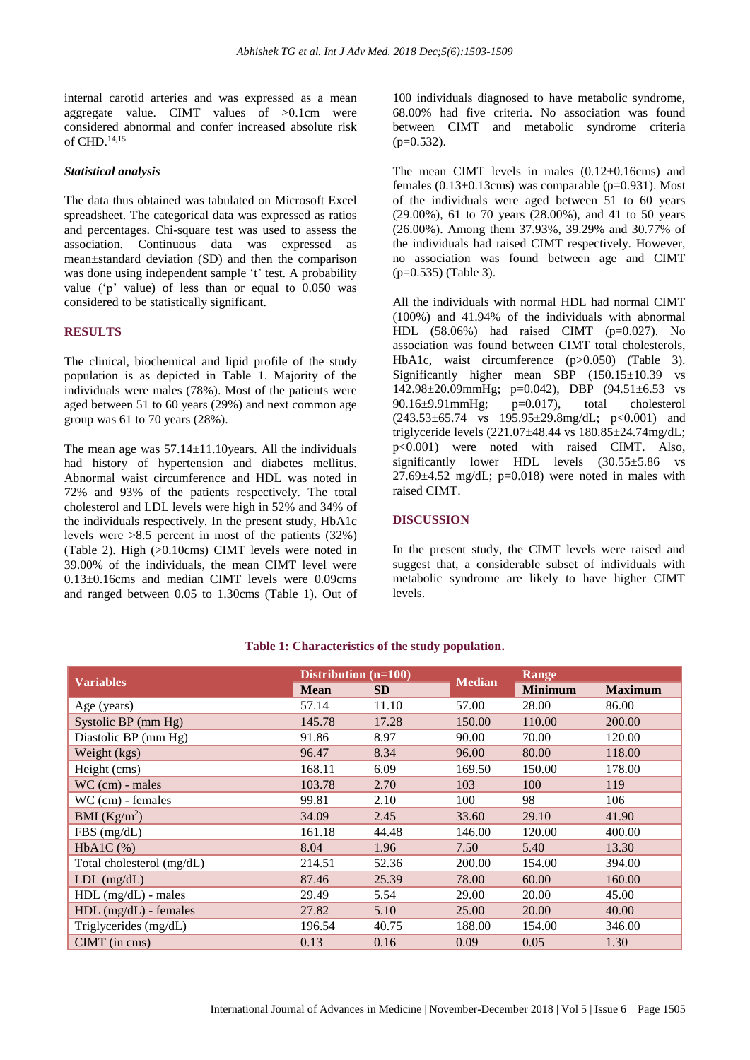internal carotid arteries and was expressed as a mean aggregate value. CIMT values of >0.1cm were considered abnormal and confer increased absolute risk of CHD. 14,15

#### *Statistical analysis*

The data thus obtained was tabulated on Microsoft Excel spreadsheet. The categorical data was expressed as ratios and percentages. Chi-square test was used to assess the association. Continuous data was expressed as mean±standard deviation (SD) and then the comparison was done using independent sample 't' test. A probability value ('p' value) of less than or equal to 0.050 was considered to be statistically significant.

#### **RESULTS**

The clinical, biochemical and lipid profile of the study population is as depicted in Table 1. Majority of the individuals were males (78%). Most of the patients were aged between 51 to 60 years (29%) and next common age group was 61 to 70 years (28%).

The mean age was  $57.14 \pm 11.10$  years. All the individuals had history of hypertension and diabetes mellitus. Abnormal waist circumference and HDL was noted in 72% and 93% of the patients respectively. The total cholesterol and LDL levels were high in 52% and 34% of the individuals respectively. In the present study, HbA1c levels were >8.5 percent in most of the patients (32%) (Table 2). High (>0.10cms) CIMT levels were noted in 39.00% of the individuals, the mean CIMT level were 0.13±0.16cms and median CIMT levels were 0.09cms and ranged between 0.05 to 1.30cms (Table 1). Out of

100 individuals diagnosed to have metabolic syndrome, 68.00% had five criteria. No association was found between CIMT and metabolic syndrome criteria  $(p=0.532)$ .

The mean CIMT levels in males  $(0.12 \pm 0.16 \text{ cm})$  and females  $(0.13\pm0.13\text{cm})$  was comparable (p=0.931). Most of the individuals were aged between 51 to 60 years (29.00%), 61 to 70 years (28.00%), and 41 to 50 years (26.00%). Among them 37.93%, 39.29% and 30.77% of the individuals had raised CIMT respectively. However, no association was found between age and CIMT (p=0.535) (Table 3).

All the individuals with normal HDL had normal CIMT (100%) and 41.94% of the individuals with abnormal HDL  $(58.06\%)$  had raised CIMT  $(p=0.027)$ . No association was found between CIMT total cholesterols, HbA1c, waist circumference (p>0.050) (Table 3). Significantly higher mean SBP (150.15±10.39 vs 142.98±20.09mmHg; p=0.042), DBP (94.51±6.53 vs 90.16 $\pm$ 9.91mmHg;  $p=0.017$ ), total cholesterol  $(243.53\pm65.74 \text{ vs } 195.95\pm29.8 \text{ mg/dL}; \text{ p} < 0.001) \text{ and}$ triglyceride levels (221.07±48.44 vs 180.85±24.74mg/dL; p<0.001) were noted with raised CIMT. Also, significantly lower HDL levels (30.55±5.86 vs  $27.69\pm4.52$  mg/dL; p=0.018) were noted in males with raised CIMT.

## **DISCUSSION**

In the present study, the CIMT levels were raised and suggest that, a considerable subset of individuals with metabolic syndrome are likely to have higher CIMT levels.

| <b>Variables</b>          | Distribution $(n=100)$ |           |               | Range          |                |
|---------------------------|------------------------|-----------|---------------|----------------|----------------|
|                           | <b>Mean</b>            | <b>SD</b> | <b>Median</b> | <b>Minimum</b> | <b>Maximum</b> |
| Age (years)               | 57.14                  | 11.10     | 57.00         | 28.00          | 86.00          |
| Systolic BP (mm Hg)       | 145.78                 | 17.28     | 150.00        | 110.00         | 200.00         |
| Diastolic BP (mm Hg)      | 91.86                  | 8.97      | 90.00         | 70.00          | 120.00         |
| Weight (kgs)              | 96.47                  | 8.34      | 96.00         | 80.00          | 118.00         |
| Height (cms)              | 168.11                 | 6.09      | 169.50        | 150.00         | 178.00         |
| $WC$ (cm) - males         | 103.78                 | 2.70      | 103           | 100            | 119            |
| WC (cm) - females         | 99.81                  | 2.10      | 100           | 98             | 106            |
| BMI $(Kg/m^2)$            | 34.09                  | 2.45      | 33.60         | 29.10          | 41.90          |
| FBS(mg/dL)                | 161.18                 | 44.48     | 146.00        | 120.00         | 400.00         |
| $HbA1C$ (%)               | 8.04                   | 1.96      | 7.50          | 5.40           | 13.30          |
| Total cholesterol (mg/dL) | 214.51                 | 52.36     | 200.00        | 154.00         | 394.00         |
| $LDL$ (mg/dL)             | 87.46                  | 25.39     | 78.00         | 60.00          | 160.00         |
| $HDL$ (mg/dL) - males     | 29.49                  | 5.54      | 29.00         | 20.00          | 45.00          |
| $HDL$ (mg/dL) - females   | 27.82                  | 5.10      | 25.00         | 20.00          | 40.00          |
| Triglycerides (mg/dL)     | 196.54                 | 40.75     | 188.00        | 154.00         | 346.00         |
| $CIMT$ (in cms)           | 0.13                   | 0.16      | 0.09          | 0.05           | 1.30           |

#### **Table 1: Characteristics of the study population.**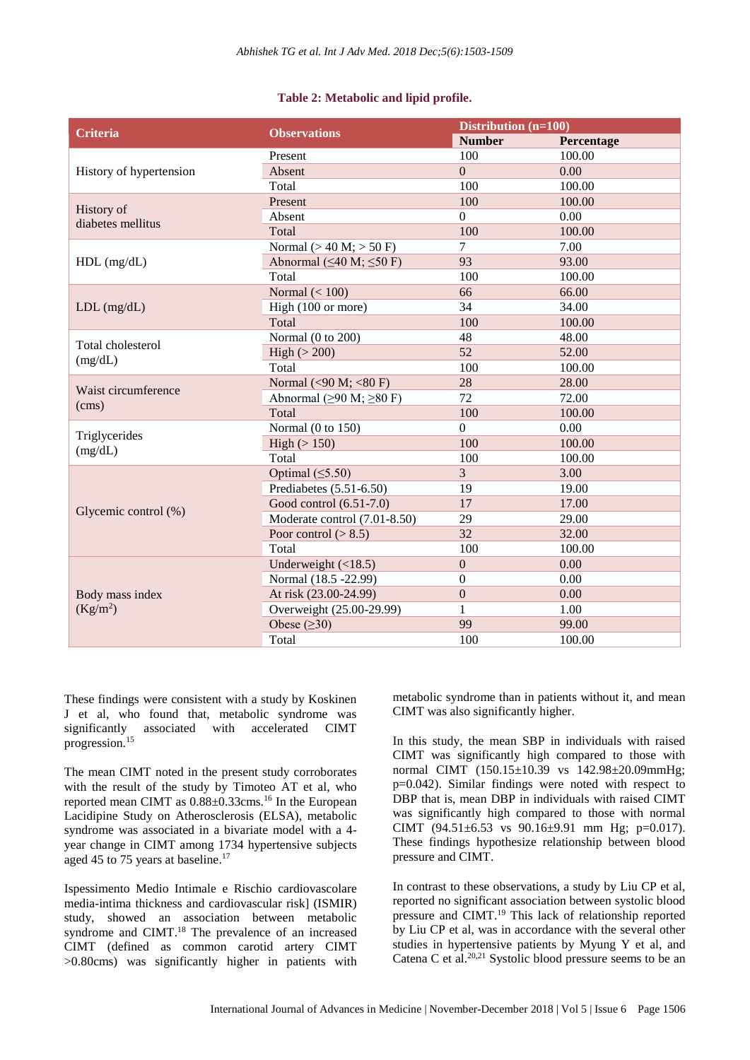#### **Table 2: Metabolic and lipid profile.**

| Criteria                        | <b>Observations</b>                  | Distribution $(n=100)$ |            |  |
|---------------------------------|--------------------------------------|------------------------|------------|--|
|                                 |                                      | <b>Number</b>          | Percentage |  |
| History of hypertension         | Present                              | 100                    | 100.00     |  |
|                                 | Absent                               | $\overline{0}$         | 0.00       |  |
|                                 | Total                                | 100                    | 100.00     |  |
| History of<br>diabetes mellitus | Present                              | 100                    | 100.00     |  |
|                                 | Absent                               | $\boldsymbol{0}$       | 0.00       |  |
|                                 | Total                                | 100                    | 100.00     |  |
|                                 | Normal $(> 40 M; > 50 F)$            | $\tau$                 | 7.00       |  |
| $HDL$ (mg/dL)                   | Abnormal ( $\leq$ 40 M; $\leq$ 50 F) | 93                     | 93.00      |  |
|                                 | Total                                | 100                    | 100.00     |  |
|                                 | Normal $(< 100$ )                    | 66                     | 66.00      |  |
| $LDL$ (mg/dL)                   | High (100 or more)                   | 34                     | 34.00      |  |
|                                 | Total                                | 100                    | 100.00     |  |
| Total cholesterol               | Normal (0 to 200)                    | 48                     | 48.00      |  |
|                                 | High $(> 200)$                       | 52                     | 52.00      |  |
| (mg/dL)                         | Total                                | 100                    | 100.00     |  |
|                                 | Normal (<90 M; <80 F)                | 28                     | 28.00      |  |
| Waist circumference             | Abnormal ( $\geq$ 90 M; $\geq$ 80 F) | 72                     | 72.00      |  |
| (cms)                           | Total                                | 100                    | 100.00     |  |
| Triglycerides<br>(mg/dL)        | Normal (0 to 150)                    | $\Omega$               | 0.00       |  |
|                                 | High $(>150)$                        | 100                    | 100.00     |  |
|                                 | Total                                | 100                    | 100.00     |  |
| Glycemic control (%)            | Optimal $( \leq 5.50)$               | $\overline{3}$         | 3.00       |  |
|                                 | Prediabetes (5.51-6.50)              | 19                     | 19.00      |  |
|                                 | Good control (6.51-7.0)              | 17                     | 17.00      |  |
|                                 | Moderate control (7.01-8.50)         | 29                     | 29.00      |  |
|                                 | Poor control $(>8.5)$                | 32                     | 32.00      |  |
|                                 | Total                                | 100                    | 100.00     |  |
|                                 | Underweight $(\langle 18.5)$         | $\mathbf{0}$           | 0.00       |  |
| Body mass index                 | Normal (18.5 -22.99)                 | $\mathbf{0}$           | 0.00       |  |
|                                 | At risk (23.00-24.99)                | $\boldsymbol{0}$       | 0.00       |  |
| (Kg/m <sup>2</sup> )            | Overweight (25.00-29.99)             | $\mathbf{1}$           | 1.00       |  |
|                                 | Obese $(\geq 30)$                    | 99                     | 99.00      |  |
|                                 | Total                                | 100                    | 100.00     |  |

These findings were consistent with a study by Koskinen J et al, who found that, metabolic syndrome was significantly associated with accelerated CIMT progression.<sup>15</sup>

The mean CIMT noted in the present study corroborates with the result of the study by Timoteo AT et al, who reported mean CIMT as 0.88±0.33cms.<sup>16</sup> In the European Lacidipine Study on Atherosclerosis (ELSA), metabolic syndrome was associated in a bivariate model with a 4 year change in CIMT among 1734 hypertensive subjects aged 45 to 75 years at baseline.<sup>17</sup>

Ispessimento Medio Intimale e Rischio cardiovascolare media-intima thickness and cardiovascular risk] (ISMIR) study, showed an association between metabolic syndrome and CIMT.<sup>18</sup> The prevalence of an increased CIMT (defined as common carotid artery CIMT >0.80cms) was significantly higher in patients with metabolic syndrome than in patients without it, and mean CIMT was also significantly higher.

In this study, the mean SBP in individuals with raised CIMT was significantly high compared to those with normal CIMT (150.15±10.39 vs 142.98±20.09mmHg; p=0.042). Similar findings were noted with respect to DBP that is, mean DBP in individuals with raised CIMT was significantly high compared to those with normal CIMT (94.51±6.53 vs 90.16±9.91 mm Hg; p=0.017). These findings hypothesize relationship between blood pressure and CIMT.

In contrast to these observations, a study by Liu CP et al, reported no significant association between systolic blood pressure and CIMT.<sup>19</sup> This lack of relationship reported by Liu CP et al, was in accordance with the several other studies in hypertensive patients by Myung Y et al, and Catena C et al. 20,21 Systolic blood pressure seems to be an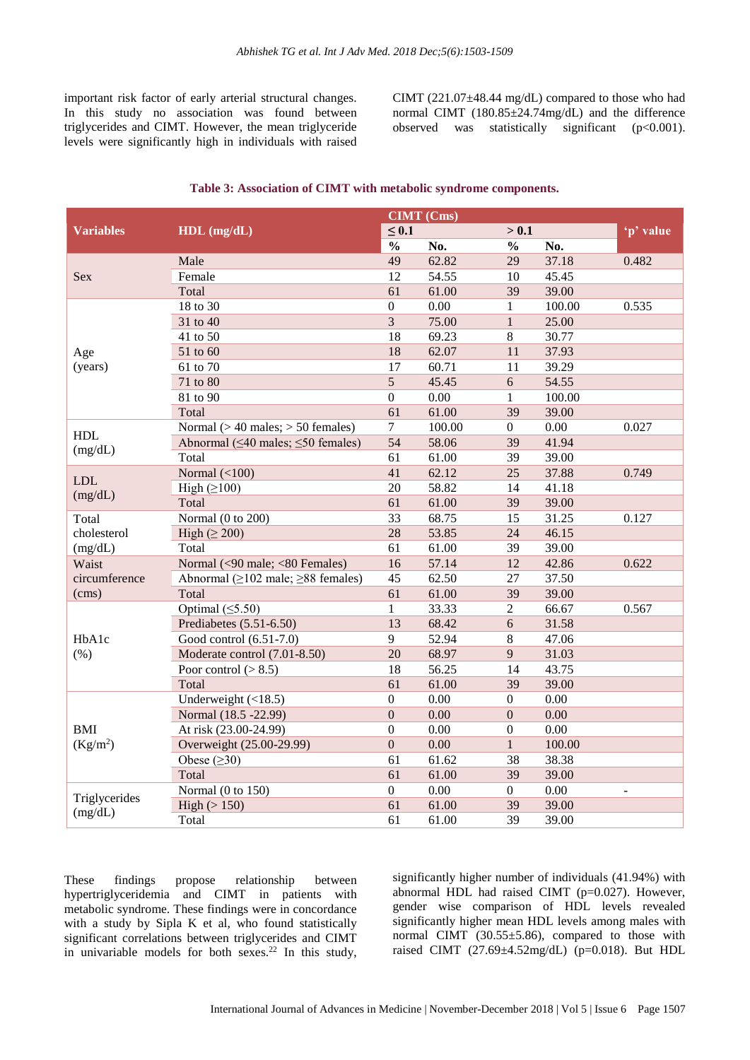important risk factor of early arterial structural changes. In this study no association was found between triglycerides and CIMT. However, the mean triglyceride levels were significantly high in individuals with raised CIMT  $(221.07\pm48.44 \text{ mg/dL})$  compared to those who had normal CIMT (180.85±24.74mg/dL) and the difference observed was statistically significant  $(p<0.001)$ .

|                                    | $HDL$ (mg/dL)                                  | <b>CIMT</b> (Cms) |        |                  |        |           |
|------------------------------------|------------------------------------------------|-------------------|--------|------------------|--------|-----------|
| <b>Variables</b>                   |                                                | $\leq 0.1$        |        | > 0.1            |        | 'p' value |
|                                    |                                                | $\frac{0}{0}$     | No.    | $\frac{0}{0}$    | No.    |           |
| Sex                                | Male                                           | 49                | 62.82  | 29               | 37.18  | 0.482     |
|                                    | Female                                         | 12                | 54.55  | 10               | 45.45  |           |
|                                    | Total                                          | 61                | 61.00  | 39               | 39.00  |           |
|                                    | 18 to 30                                       | $\boldsymbol{0}$  | 0.00   | $\mathbf{1}$     | 100.00 | 0.535     |
|                                    | 31 to 40                                       | $\overline{3}$    | 75.00  | $\mathbf{1}$     | 25.00  |           |
|                                    | 41 to 50                                       | 18                | 69.23  | 8                | 30.77  |           |
| Age                                | 51 to 60                                       | 18                | 62.07  | 11               | 37.93  |           |
| (years)                            | 61 to 70                                       | 17                | 60.71  | 11               | 39.29  |           |
|                                    | 71 to 80                                       | 5                 | 45.45  | 6                | 54.55  |           |
|                                    | 81 to 90                                       | $\mathbf{0}$      | 0.00   | $\mathbf{1}$     | 100.00 |           |
|                                    | Total                                          | 61                | 61.00  | 39               | 39.00  |           |
| <b>HDL</b>                         | Normal $(> 40$ males; $> 50$ females)          | $\overline{7}$    | 100.00 | $\boldsymbol{0}$ | 0.00   | 0.027     |
|                                    | Abnormal ( $\leq 40$ males; $\leq 50$ females) | 54                | 58.06  | 39               | 41.94  |           |
| (mg/dL)                            | Total                                          | 61                | 61.00  | 39               | 39.00  |           |
| <b>LDL</b>                         | Normal $(<100$ )                               | 41                | 62.12  | 25               | 37.88  | 0.749     |
|                                    | High $(\geq 100)$                              | 20                | 58.82  | 14               | 41.18  |           |
| (mg/dL)                            | Total                                          | 61                | 61.00  | 39               | 39.00  |           |
| Total                              | Normal (0 to 200)                              | 33                | 68.75  | 15               | 31.25  | 0.127     |
| cholesterol                        | High $(\geq 200)$                              | 28                | 53.85  | 24               | 46.15  |           |
| (mg/dL)                            | Total                                          | 61                | 61.00  | 39               | 39.00  |           |
| Waist<br>circumference<br>(cms)    | Normal (<90 male; <80 Females)                 | 16                | 57.14  | 12               | 42.86  | 0.622     |
|                                    | Abnormal ( $\geq$ 102 male; $\geq$ 88 females) | 45                | 62.50  | 27               | 37.50  |           |
|                                    | Total                                          | 61                | 61.00  | 39               | 39.00  |           |
| HbA1c<br>(%)                       | Optimal $( \leq 5.50)$                         | $\mathbf{1}$      | 33.33  | $\overline{2}$   | 66.67  | 0.567     |
|                                    | Prediabetes (5.51-6.50)                        | 13                | 68.42  | 6                | 31.58  |           |
|                                    | Good control (6.51-7.0)                        | 9                 | 52.94  | 8                | 47.06  |           |
|                                    | Moderate control (7.01-8.50)                   | 20                | 68.97  | 9                | 31.03  |           |
|                                    | Poor control $(>8.5)$                          | 18                | 56.25  | 14               | 43.75  |           |
|                                    | Total                                          | 61                | 61.00  | 39               | 39.00  |           |
| <b>BMI</b><br>(Kg/m <sup>2</sup> ) | Underweight $(\langle 18.5)$                   | $\boldsymbol{0}$  | 0.00   | $\boldsymbol{0}$ | 0.00   |           |
|                                    | Normal (18.5 -22.99)                           | $\mathbf{0}$      | 0.00   | $\mathbf{0}$     | 0.00   |           |
|                                    | At risk (23.00-24.99)                          | $\boldsymbol{0}$  | 0.00   | $\boldsymbol{0}$ | 0.00   |           |
|                                    | Overweight (25.00-29.99)                       | $\overline{0}$    | 0.00   | $\mathbf{1}$     | 100.00 |           |
|                                    | Obese $(\geq 30)$                              | 61                | 61.62  | 38               | 38.38  |           |
|                                    | Total                                          | 61                | 61.00  | 39               | 39.00  |           |
| Triglycerides<br>(mg/dL)           | Normal (0 to 150)                              | $\boldsymbol{0}$  | 0.00   | $\boldsymbol{0}$ | 0.00   | L.        |
|                                    | High $(>150)$                                  | 61                | 61.00  | 39               | 39.00  |           |
|                                    | Total                                          | 61                | 61.00  | 39               | 39.00  |           |

#### **Table 3: Association of CIMT with metabolic syndrome components.**

These findings propose relationship between hypertriglyceridemia and CIMT in patients with metabolic syndrome. These findings were in concordance with a study by Sipla K et al, who found statistically significant correlations between triglycerides and CIMT in univariable models for both sexes.<sup>22</sup> In this study, significantly higher number of individuals (41.94%) with abnormal HDL had raised CIMT (p=0.027). However, gender wise comparison of HDL levels revealed significantly higher mean HDL levels among males with normal CIMT (30.55±5.86), compared to those with raised CIMT (27.69±4.52mg/dL) (p=0.018). But HDL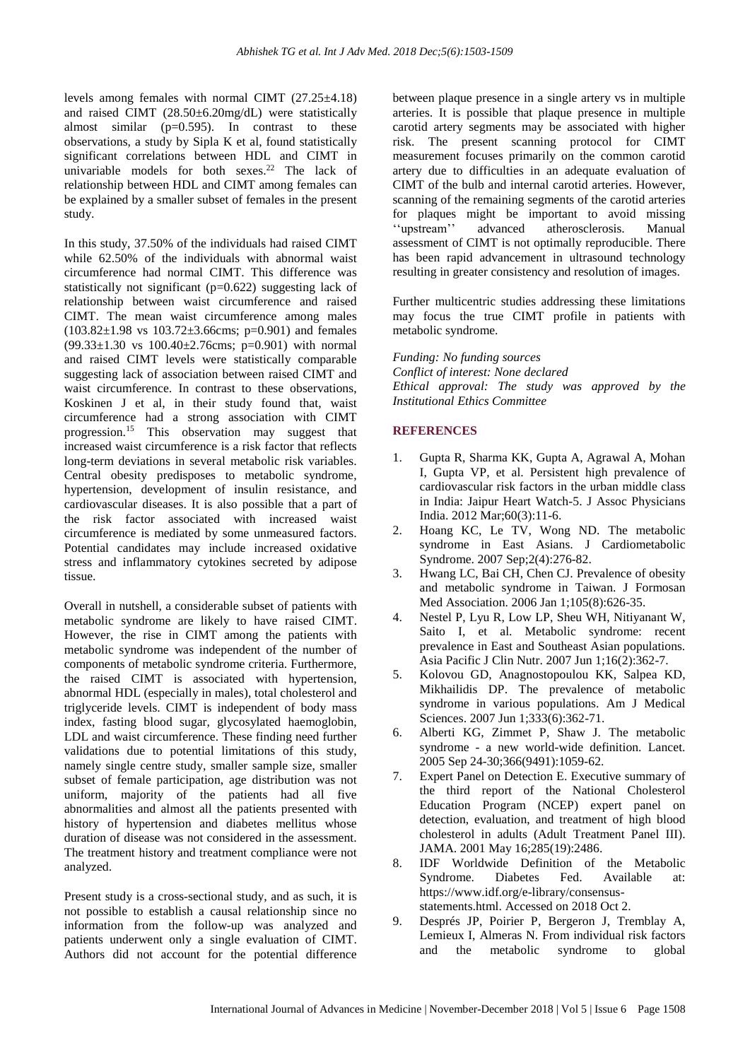levels among females with normal CIMT (27.25±4.18) and raised CIMT (28.50±6.20mg/dL) were statistically almost similar  $(p=0.595)$ . In contrast to these observations, a study by Sipla K et al, found statistically significant correlations between HDL and CIMT in univariable models for both sexes.<sup>22</sup> The lack of relationship between HDL and CIMT among females can be explained by a smaller subset of females in the present study.

In this study, 37.50% of the individuals had raised CIMT while 62.50% of the individuals with abnormal waist circumference had normal CIMT. This difference was statistically not significant (p=0.622) suggesting lack of relationship between waist circumference and raised CIMT. The mean waist circumference among males  $(103.82 \pm 1.98 \text{ vs } 103.72 \pm 3.66 \text{ cm}; \text{p=0.901})$  and females  $(99.33 \pm 1.30 \text{ vs } 100.40 \pm 2.76 \text{ cm}; \text{ p=0.901})$  with normal and raised CIMT levels were statistically comparable suggesting lack of association between raised CIMT and waist circumference. In contrast to these observations, Koskinen J et al, in their study found that, waist circumference had a strong association with CIMT progression.<sup>15</sup> This observation may suggest that increased waist circumference is a risk factor that reflects long-term deviations in several metabolic risk variables. Central obesity predisposes to metabolic syndrome, hypertension, development of insulin resistance, and cardiovascular diseases. It is also possible that a part of the risk factor associated with increased waist circumference is mediated by some unmeasured factors. Potential candidates may include increased oxidative stress and inflammatory cytokines secreted by adipose tissue.

Overall in nutshell, a considerable subset of patients with metabolic syndrome are likely to have raised CIMT. However, the rise in CIMT among the patients with metabolic syndrome was independent of the number of components of metabolic syndrome criteria. Furthermore, the raised CIMT is associated with hypertension, abnormal HDL (especially in males), total cholesterol and triglyceride levels. CIMT is independent of body mass index, fasting blood sugar, glycosylated haemoglobin, LDL and waist circumference. These finding need further validations due to potential limitations of this study, namely single centre study, smaller sample size, smaller subset of female participation, age distribution was not uniform, majority of the patients had all five abnormalities and almost all the patients presented with history of hypertension and diabetes mellitus whose duration of disease was not considered in the assessment. The treatment history and treatment compliance were not analyzed.

Present study is a cross-sectional study, and as such, it is not possible to establish a causal relationship since no information from the follow-up was analyzed and patients underwent only a single evaluation of CIMT. Authors did not account for the potential difference between plaque presence in a single artery vs in multiple arteries. It is possible that plaque presence in multiple carotid artery segments may be associated with higher risk. The present scanning protocol for CIMT measurement focuses primarily on the common carotid artery due to difficulties in an adequate evaluation of CIMT of the bulb and internal carotid arteries. However, scanning of the remaining segments of the carotid arteries for plaques might be important to avoid missing ''upstream'' advanced atherosclerosis. Manual assessment of CIMT is not optimally reproducible. There has been rapid advancement in ultrasound technology resulting in greater consistency and resolution of images.

Further multicentric studies addressing these limitations may focus the true CIMT profile in patients with metabolic syndrome.

*Funding: No funding sources Conflict of interest: None declared Ethical approval: The study was approved by the Institutional Ethics Committee*

## **REFERENCES**

- 1. Gupta R, Sharma KK, Gupta A, Agrawal A, Mohan I, Gupta VP, et al. Persistent high prevalence of cardiovascular risk factors in the urban middle class in India: Jaipur Heart Watch-5. J Assoc Physicians India. 2012 Mar;60(3):11-6.
- 2. Hoang KC, Le TV, Wong ND. The metabolic syndrome in East Asians. J Cardiometabolic Syndrome. 2007 Sep;2(4):276-82.
- 3. Hwang LC, Bai CH, Chen CJ. Prevalence of obesity and metabolic syndrome in Taiwan. J Formosan Med Association. 2006 Jan 1;105(8):626-35.
- 4. Nestel P, Lyu R, Low LP, Sheu WH, Nitiyanant W, Saito I, et al. Metabolic syndrome: recent prevalence in East and Southeast Asian populations. Asia Pacific J Clin Nutr. 2007 Jun 1;16(2):362-7.
- 5. Kolovou GD, Anagnostopoulou KK, Salpea KD, Mikhailidis DP. The prevalence of metabolic syndrome in various populations. Am J Medical Sciences. 2007 Jun 1;333(6):362-71.
- 6. Alberti KG, Zimmet P, Shaw J. The metabolic syndrome - a new world-wide definition. Lancet. 2005 Sep 24-30;366(9491):1059-62.
- 7. Expert Panel on Detection E. Executive summary of the third report of the National Cholesterol Education Program (NCEP) expert panel on detection, evaluation, and treatment of high blood cholesterol in adults (Adult Treatment Panel III). JAMA. 2001 May 16;285(19):2486.
- 8. IDF Worldwide Definition of the Metabolic<br>Syndrome. Diabetes Fed. Available at Syndrome. Diabetes Fed. Available at: https://www.idf.org/e-library/consensusstatements.html. Accessed on 2018 Oct 2.
- 9. Després JP, Poirier P, Bergeron J, Tremblay A, Lemieux I, Almeras N. From individual risk factors and the metabolic syndrome to global